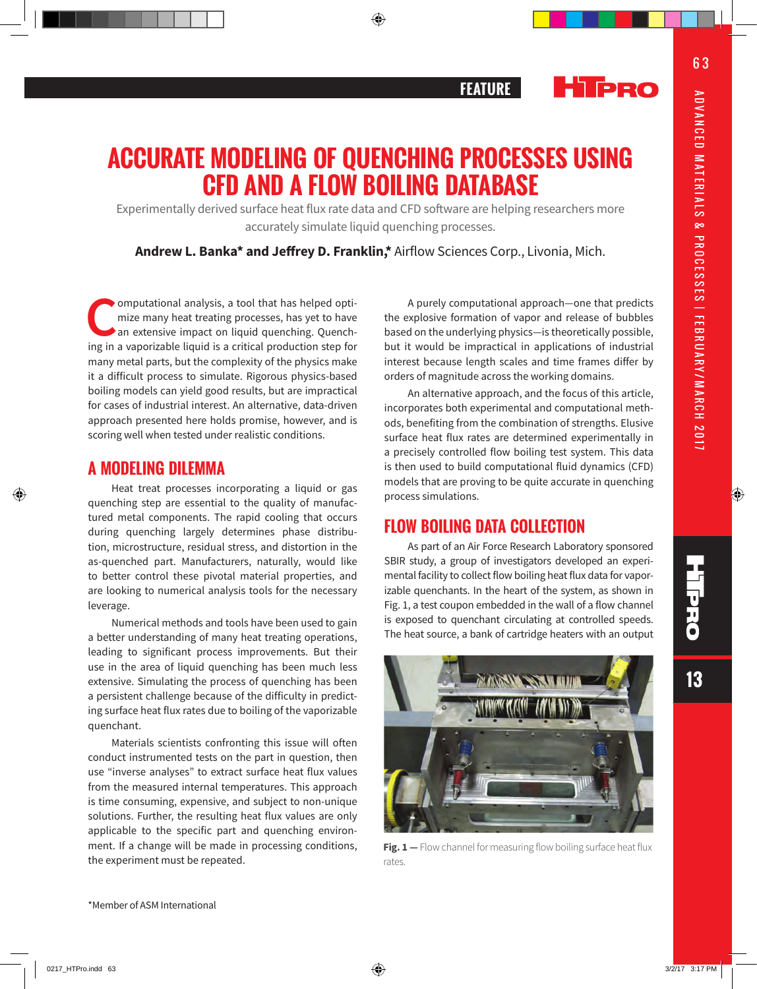**13**

**THE** 



# **ACCURATE MODELING OF QUENCHING PROCESSES USING CFD AND A FLOW BOILING DATABASE**

Experimentally derived surface heat flux rate data and CFD software are helping researchers more accurately simulate liquid quenching processes.

**Andrew L. Banka\* and Jeffrey D. Franklin,\*** Airflow Sciences Corp., Livonia, Mich.

**C**omputational analysis, a tool that has helped optimize many heat treating processes, has yet to have an extensive impact on liquid quenching. Quenching in a vaporizable liquid is a critical production step for many metal parts, but the complexity of the physics make it a difficult process to simulate. Rigorous physics-based boiling models can yield good results, but are impractical for cases of industrial interest. An alternative, data-driven approach presented here holds promise, however, and is scoring well when tested under realistic conditions.

## **A MODELING DILEMMA**

Heat treat processes incorporating a liquid or gas quenching step are essential to the quality of manufactured metal components. The rapid cooling that occurs during quenching largely determines phase distribution, microstructure, residual stress, and distortion in the as-quenched part. Manufacturers, naturally, would like to better control these pivotal material properties, and are looking to numerical analysis tools for the necessary leverage.

Numerical methods and tools have been used to gain a better understanding of many heat treating operations, leading to significant process improvements. But their use in the area of liquid quenching has been much less extensive. Simulating the process of quenching has been a persistent challenge because of the difficulty in predicting surface heat flux rates due to boiling of the vaporizable quenchant.

Materials scientists confronting this issue will often conduct instrumented tests on the part in question, then use "inverse analyses" to extract surface heat flux values from the measured internal temperatures. This approach is time consuming, expensive, and subject to non-unique solutions. Further, the resulting heat flux values are only applicable to the specific part and quenching environment. If a change will be made in processing conditions, the experiment must be repeated.

A purely computational approach—one that predicts the explosive formation of vapor and release of bubbles based on the underlying physics—is theoretically possible, but it would be impractical in applications of industrial interest because length scales and time frames differ by orders of magnitude across the working domains.

An alternative approach, and the focus of this article, incorporates both experimental and computational methods, benefiting from the combination of strengths. Elusive surface heat flux rates are determined experimentally in a precisely controlled flow boiling test system. This data is then used to build computational fluid dynamics (CFD) models that are proving to be quite accurate in quenching process simulations.

## **FLOW BOILING DATA COLLECTION**

As part of an Air Force Research Laboratory sponsored SBIR study, a group of investigators developed an experimental facility to collect flow boiling heat flux data for vaporizable quenchants. In the heart of the system, as shown in Fig. 1, a test coupon embedded in the wall of a flow channel is exposed to quenchant circulating at controlled speeds. The heat source, a bank of cartridge heaters with an output



Fig. 1 - Flow channel for measuring flow boiling surface heat flux rates.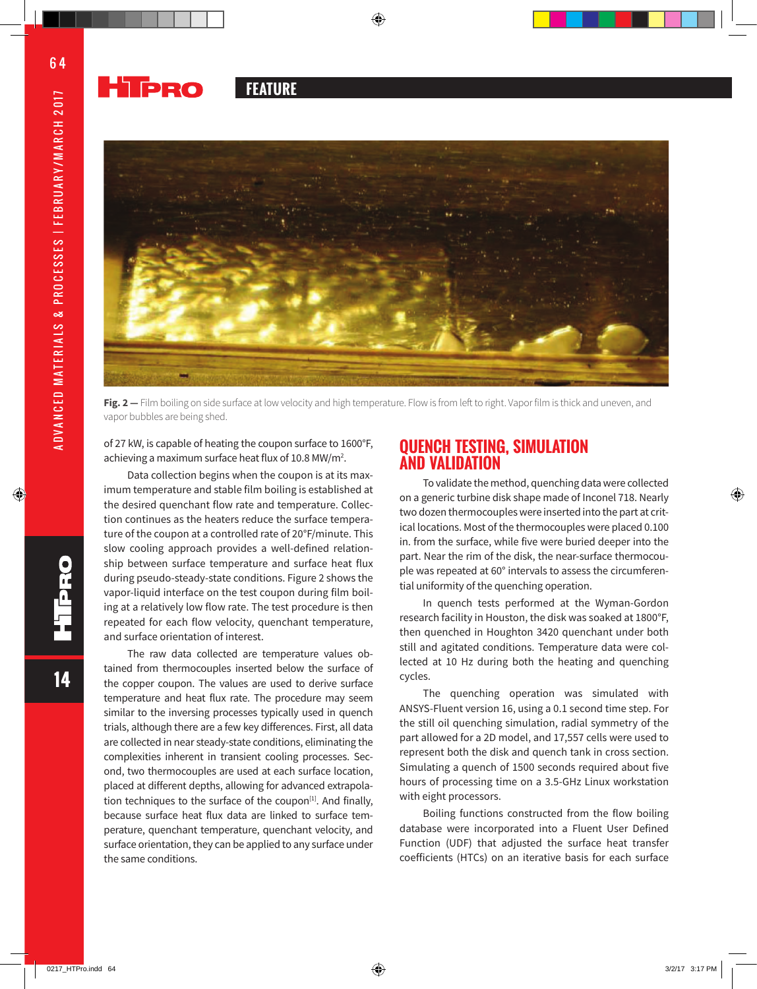#### **Hipro FEATURE**



**Fig. 2 —** Film boiling on side surface at low velocity and high temperature. Flow is from left to right. Vapor film is thick and uneven, and vapor bubbles are being shed.

of 27 kW, is capable of heating the coupon surface to 1600°F, achieving a maximum surface heat flux of 10.8 MW/m<sup>2</sup>.

Data collection begins when the coupon is at its maximum temperature and stable film boiling is established at the desired quenchant flow rate and temperature. Collection continues as the heaters reduce the surface temperature of the coupon at a controlled rate of 20°F/minute. This slow cooling approach provides a well-defined relationship between surface temperature and surface heat flux during pseudo-steady-state conditions. Figure 2 shows the vapor-liquid interface on the test coupon during film boiling at a relatively low flow rate. The test procedure is then repeated for each flow velocity, quenchant temperature, and surface orientation of interest.

The raw data collected are temperature values obtained from thermocouples inserted below the surface of the copper coupon. The values are used to derive surface temperature and heat flux rate. The procedure may seem similar to the inversing processes typically used in quench trials, although there are a few key differences. First, all data are collected in near steady-state conditions, eliminating the complexities inherent in transient cooling processes. Second, two thermocouples are used at each surface location, placed at different depths, allowing for advanced extrapolation techniques to the surface of the coupon<sup>[1]</sup>. And finally, because surface heat flux data are linked to surface temperature, quenchant temperature, quenchant velocity, and surface orientation, they can be applied to any surface under the same conditions.

### **QUENCH TESTING, SIMULATION AND VALIDATION**

To validate the method, quenching data were collected on a generic turbine disk shape made of Inconel 718. Nearly two dozen thermocouples were inserted into the part at critical locations. Most of the thermocouples were placed 0.100 in. from the surface, while five were buried deeper into the part. Near the rim of the disk, the near-surface thermocouple was repeated at 60° intervals to assess the circumferential uniformity of the quenching operation.

In quench tests performed at the Wyman-Gordon research facility in Houston, the disk was soaked at 1800°F, then quenched in Houghton 3420 quenchant under both still and agitated conditions. Temperature data were collected at 10 Hz during both the heating and quenching cycles.

The quenching operation was simulated with ANSYS-Fluent version 16, using a 0.1 second time step. For the still oil quenching simulation, radial symmetry of the part allowed for a 2D model, and 17,557 cells were used to represent both the disk and quench tank in cross section. Simulating a quench of 1500 seconds required about five hours of processing time on a 3.5-GHz Linux workstation with eight processors.

Boiling functions constructed from the flow boiling database were incorporated into a Fluent User Defined Function (UDF) that adjusted the surface heat transfer coefficients (HTCs) on an iterative basis for each surface

**14**